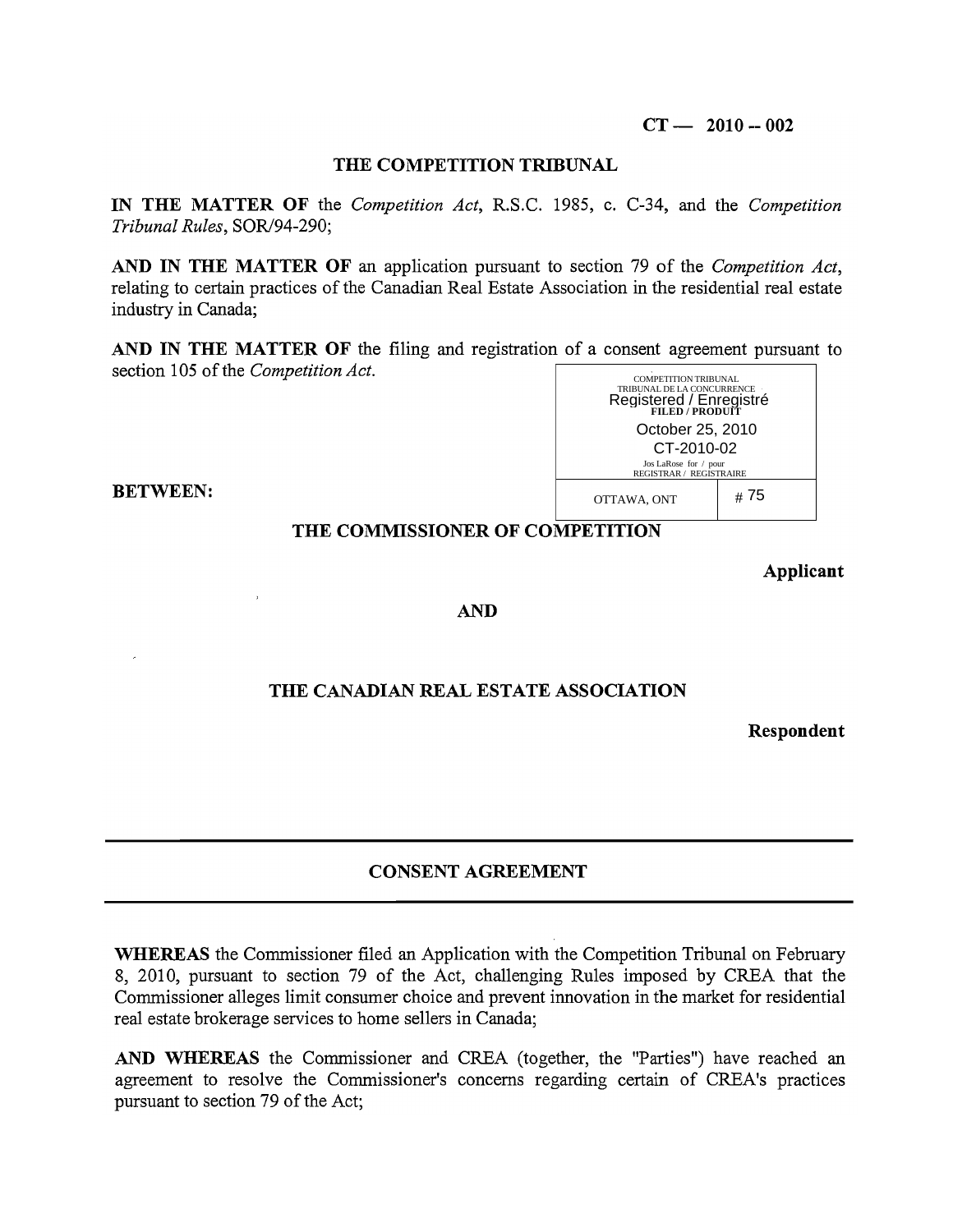#### **THE COMPETITION TRIBUNAL**

**IN THE MATTER OF** the *Competition Act,* R.S.C. 1985, c. C-34, and the *Competition Tribunal Rules, SOR/94-290;* 

**AND IN THE MATTER OF** an application pursuant to section 79 of the *Competition Act,*  relating to certain practices of the Canadian Real Estate Association in the residential real estate industry in Canada;

**AND IN THE MATTER OF** the filing and registration of a consent agreement pursuant to section 105 of the *Competition Act.*  COMPETITION TRIBUNAL



# **THE COMMISSIONER OF COMPETITION**

**BETWEEN:** 

#### **Applicant**

#### **AND**

# **THE CANADIAN REAL ESTATE ASSOCIATION**

**Respondent** 

# **CONSENT AGREEMENT**

**WHEREAS** the Commissioner filed an Application with the Competition Tribunal on February 8, 2010, pursuant to section 79 of the Act, challenging Rules imposed by CREA that the Commissioner alleges limit consumer choice and prevent innovation in the market for residential real estate brokerage services to home sellers in Canada;

**AND WHEREAS** the Commissioner and CREA (together, the "Parties") have reached an agreement to resolve the Commissioner's concerns regarding certain of CREA's practices pursuant to section 79 of the Act;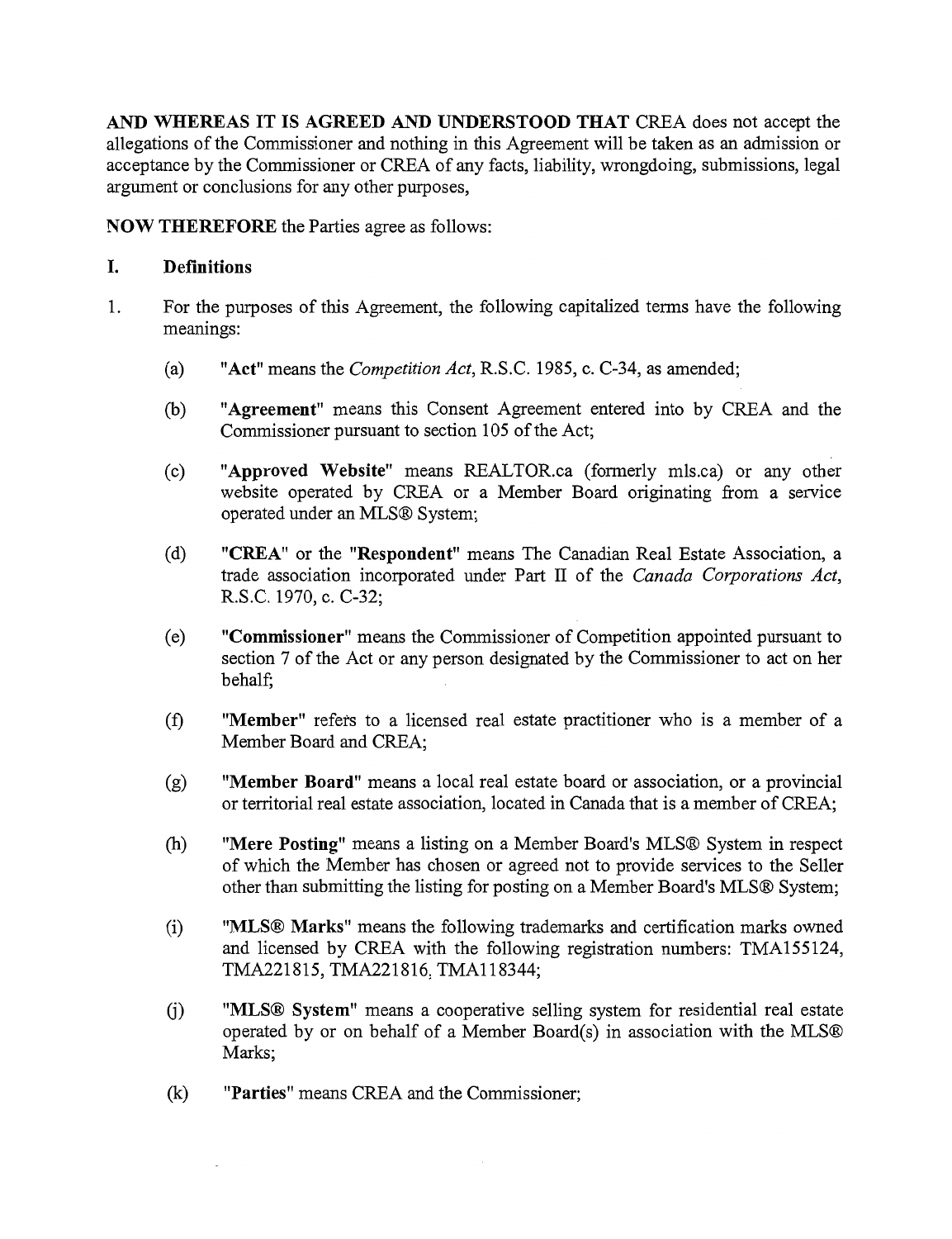AND WHEREAS IT IS AGREED AND UNDERSTOOD THAT CREA does not accept the allegations of the Commissioner and nothing in this Agreement will be taken as an admission or acceptance by the Commissioner or CREA of any facts, liability, wrongdoing, submissions, legal argument or conclusions for any other purposes,

NOW THEREFORE the Parties agree as follows:

### I. Definitions

- 1. For the purposes of this Agreement, the following capitalized terms have the following meanings:
	- (a) "Act" means the *Competition Act*, R.S.C. 1985, c. C-34, as amended;
	- (b) "Agreement" means this Consent Agreement entered into by CREA and the Commissioner pursuant to section 105 of the Act;
	- (c) "Approved Website" means REALTORca (formerly mls.ca) or any other website operated by CREA or a Member Board originating from a service operated under an MLS® System;
	- (d) "CREA" or the "Respondent" means The Canadian Real Estate Association, a trade association incorporated under Part II of the *Canada Corporations Act,*  RS.C. 1970, c. C-32;
	- ( e) "Commissioner" means the Commissioner of Competition appointed pursuant to section 7 of the Act or any person designated by the Commissioner to act on her behalf;
	- (f) "Member" refers to a licensed real estate practitioner who is a member of a Member Board and CREA;
	- (g) "Member Board" means a local real estate board or association, or a provincial or territorial real estate association, located in Canada that is a member of CREA;
	- (h) "Mere Posting" means a listing on a Member Board's MLS® System in respect of which the Member has chosen or agreed not to provide services to the Seller other than submitting the listing for posting on a Member Board's MLS® System;
	- (i) "MLS® Marks" means the following trademarks and certification marks owned and licensed by CREA with the following registration numbers: TMA155124, TMA221815, TMA221816, TMAl18344;
	- G) "MLS® System" means a cooperative selling system for residential real estate operated by or on behalf of a Member Board(s) in association with the MLS® Marks;
	- (k) "Parties" means CREA and the Commissioner;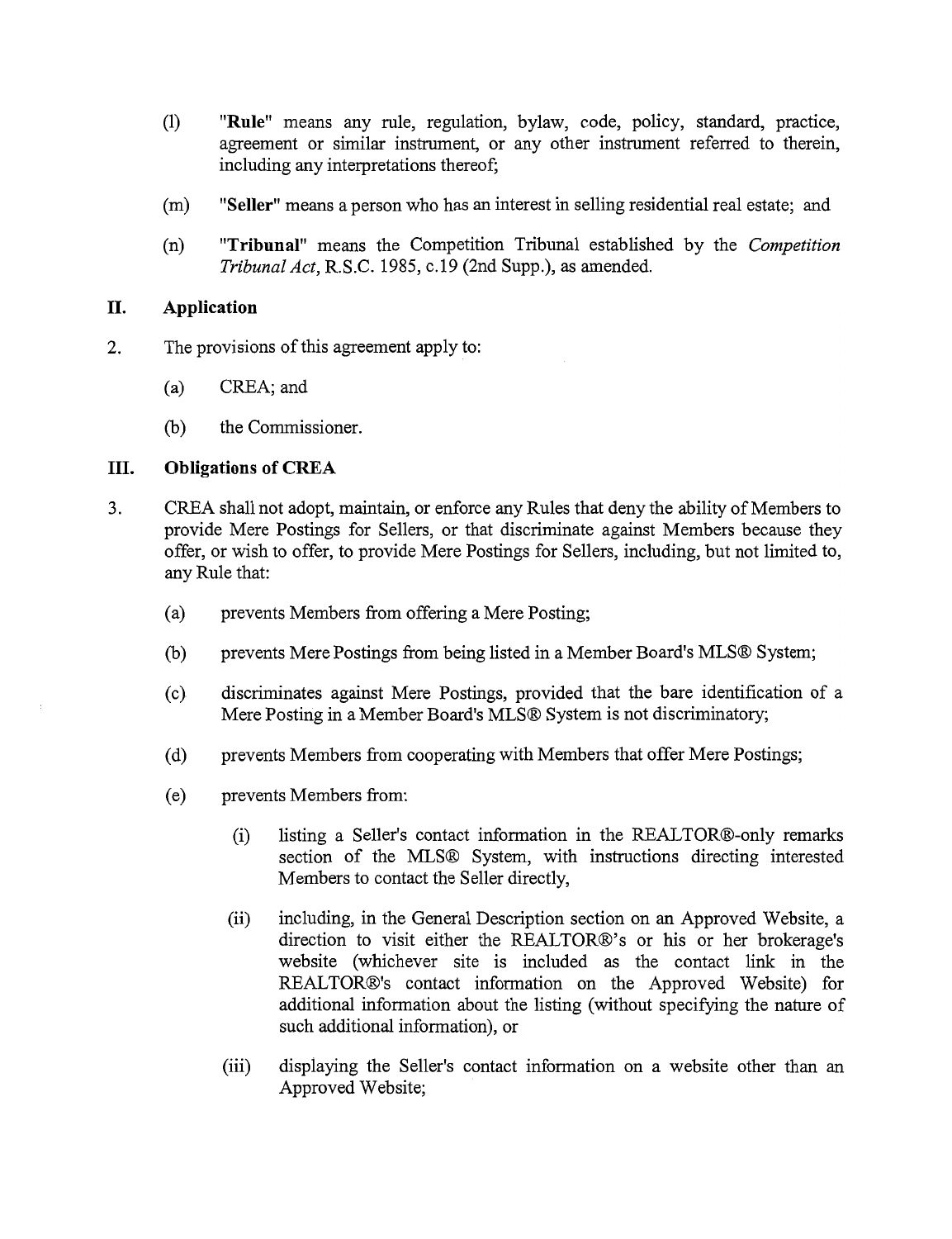- (1) **"Rule"** means any rule, regulation, bylaw, code, policy, standard, practice, agreement or similar instrument, or any other instrument referred to therein, including any interpretations thereof;
- (m) **"Seller"** means a person who has an interest in selling residential real estate; and
- (n) **"Tribunal"** means the Competition Tribunal established by the *Competition Tribunal Act,* R.S.c. 1985, c.19 (2nd Supp.), as amended.

### **II. Application**

- 2. The provisions of this agreement apply to:
	- (a) CREA; and
	- (b) the Commissioner.

### **III. Obligations of CREA**

- 3. CREA shall not adopt, maintain, or enforce any Rules that deny the ability of Members to provide Mere Postings for Sellers, or that discriminate against Members because they offer, or wish to offer, to provide Mere Postings for Sellers, including, but not limited to, any Rule that:
	- (a) prevents Members from offering a Mere Posting;
	- (b) prevents Mere Postings from being listed in a Member Board's MLS® System;
	- (c) discriminates against Mere Po stings, provided that the bare identification of a Mere Posting in a Member Board's MLS® System is not discriminatory;
	- (d) prevents Members from cooperating with Members that offer Mere Postings;
	- ( e) prevents Members from:
		- (i) listing a Seller's contact information in the REALTOR®-only remarks section of the MLS® System, with instructions directing interested Members to contact the Seller directly,
		- (ii) including, in the General Description section on an Approved Website, a direction to visit either the REALTOR®'s or his or her brokerage's website (whichever site is included as the contact link in the REALTOR®'s contact information on the Approved Website) for additional information about the listing (without specifying the nature of such additional information), or
		- (iii) displaying the Seller's contact information on a website other than an Approved Website;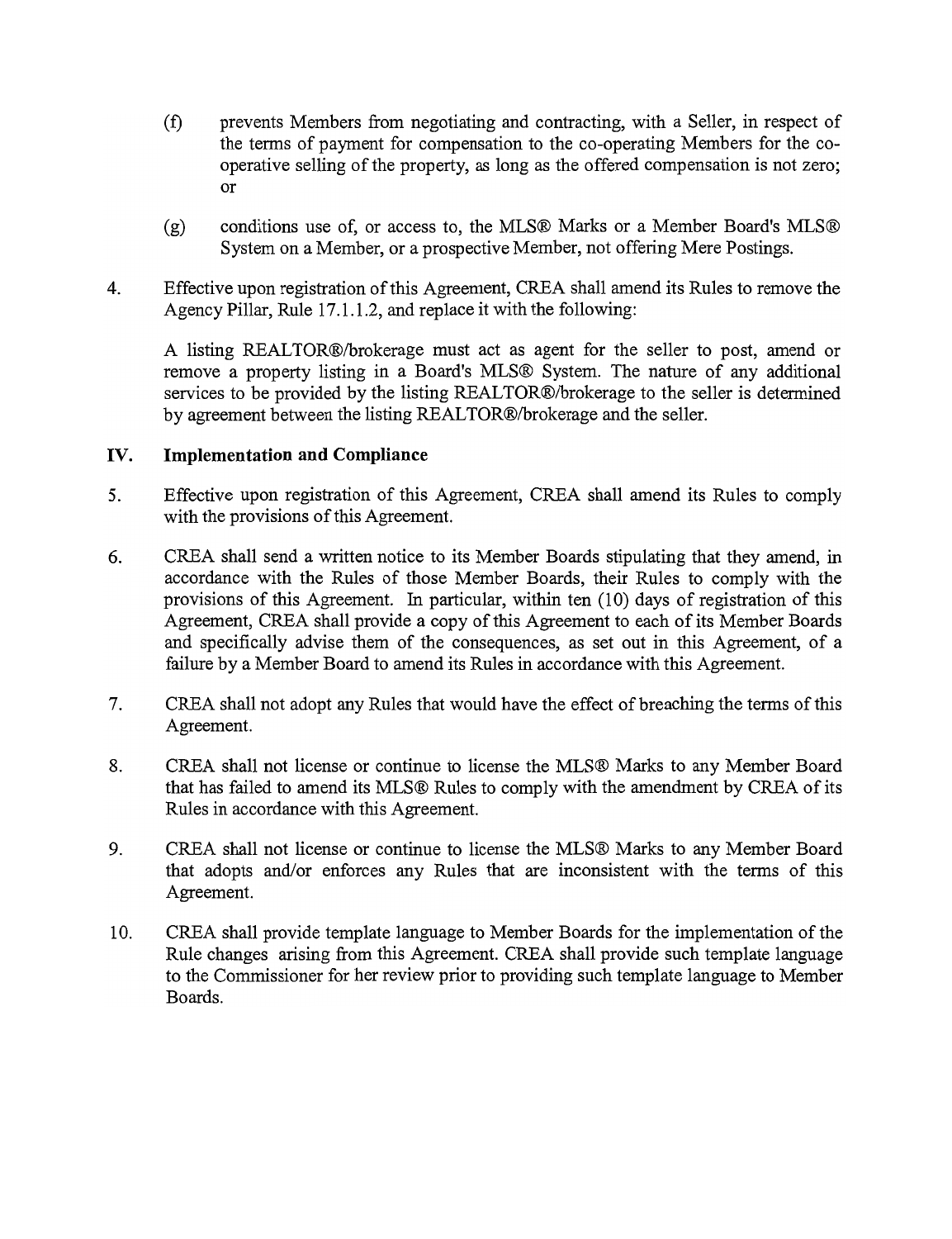- (f) prevents Members from negotiating and contracting, with a Seller, in respect of the terms of payment for compensation to the co-operating Members for the cooperative selling of the property, as long as the offered compensation is not zero; or
- (g) conditions use of, or access to, the MLS® Marks or a Member Board's MLS® System on a Member, or a prospective Member, not offering Mere Postings.
- 4. Effective upon registration of this Agreement, CREA shall amend its Rules to remove the Agency Pillar, Rule 17.1.1.2, and replace it with the following:

A listing REALTOR®/brokerage must act as agent for the seller to post, amend or remove a property listing in a Board's MLS® System. The nature of any additional services to be provided by the listing REALTOR®/brokerage to the seller is determined by agreement between the listing REALTOR®/brokerage and the seller.

# **IV. Implementation and Compliance**

- 5. Effective upon registration of this Agreement, CREA shall amend its Rules to comply with the provisions of this Agreement.
- 6. CREA shall send a written notice to its Member Boards stipulating that they amend, in accordance with the Rules of those Member Boards, their Rules to comply with the provisions of this Agreement. In particular, within ten (10) days of registration of this Agreement, CREA shall provide a copy of this Agreement to each of its Member Boards and specifically advise them of the consequences, as set out in this Agreement, of a failure by a Member Board to amend its Rules in accordance with this Agreement.
- 7. CREA shall not adopt any Rules that would have the effect of breaching the terms of this Agreement.
- 8. CREA shall not license or continue to license the MLS® Marks to any Member Board that has failed to amend its MLS® Rules to comply with the amendment by CREA of its Rules in accordance with this Agreement.
- 9. CREA shall not license or continue to license the MLS® Marks to any Member Board that adopts and/or enforces any Rules that are inconsistent with the terms of this Agreement.
- 10. CREA shall provide template language to Member Boards for the implementation of the Rule changes arising from this Agreement. CREA shall provide such template language to the Commissioner for her review prior to providing such template language to Member Boards.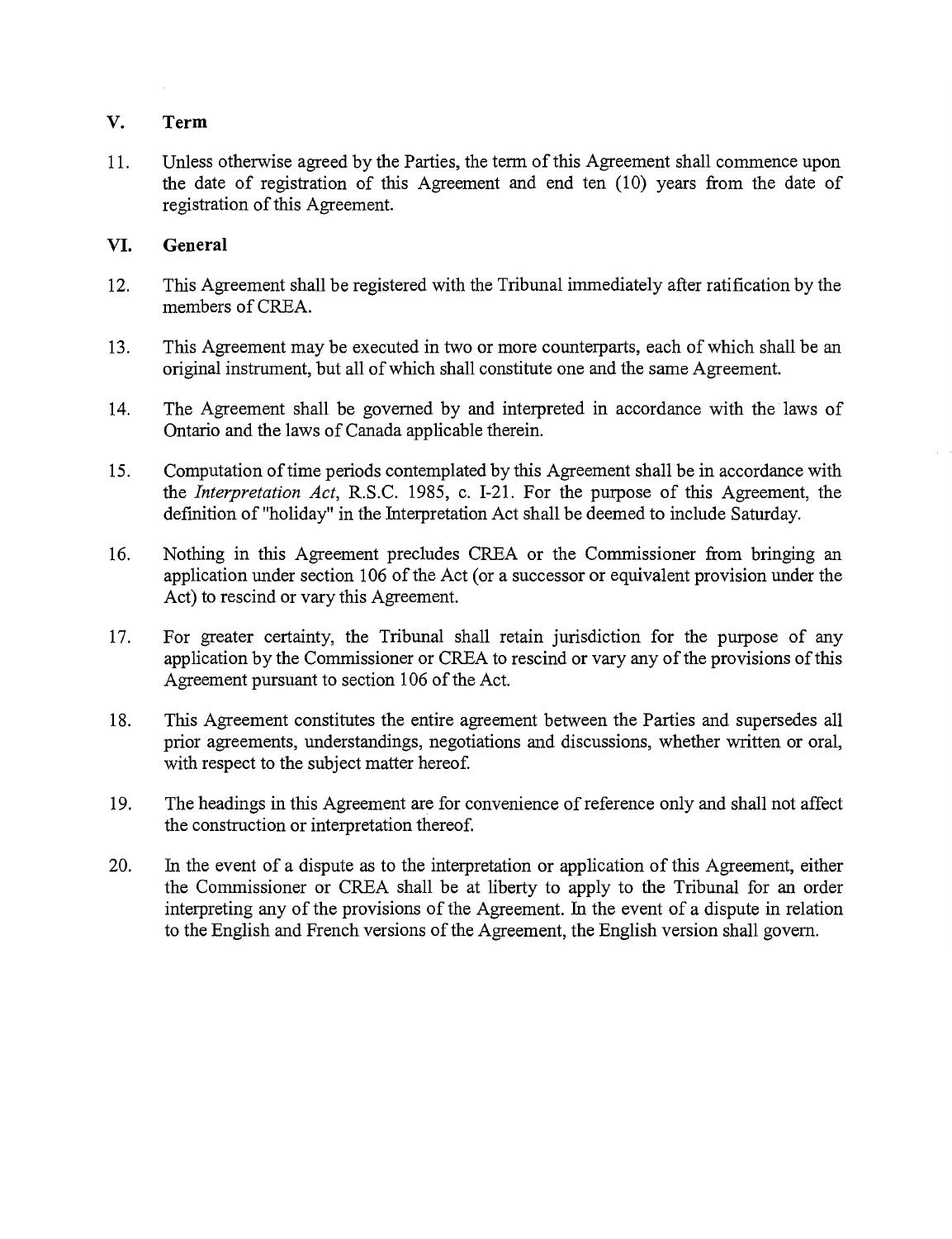# **V. Term**

11. Unless otherwise agreed by the Parties, the term of this Agreement shall commence upon the date of registration of this Agreement and end ten (10) years from the date of registration of this Agreement.

# **VI. General**

- 12. This Agreement shall be registered with the Tribunal immediately after ratification by the members of CREA.
- 13. This Agreement may be executed in two or more counterparts, each of which shall be an original instrument, but all of which shall constitute one and the same Agreement.
- 14. The Agreement shall be governed by and interpreted in accordance with the laws of Ontario and the laws of Canada applicable therein.
- 15. Computation of time periods contemplated by this Agreement shall be in accordance with the *Interpretation Act,* R.S.C. 1985, c. 1-21. For the purpose of this Agreement, the definition of "holiday" in the Interpretation Act shall be deemed to include Saturday.
- 16. Nothing in this Agreement precludes CREA or the Commissioner from bringing an application under section 106 of the Act (or a successor or equivalent provision under the Act) to rescind or vary this Agreement.
- 17. For greater certainty, the Tribunal shall retain jurisdiction for the purpose of any application by the Commissioner or CREA to rescind or vary any of the provisions ofthis Agreement pursuant to section 106 of the Act.
- 18. This Agreement constitutes the entire agreement between the Parties and supersedes all prior agreements, understandings, negotiations and discussions, whether written or oral, with respect to the subject matter hereof.
- 19. The headings in this Agreement are for convenience of reference only and shall not affect the construction or interpretation thereof.
- 20. In the event of a dispute as to the interpretation or application of this Agreement, either the Commissioner or CREA shall be at liberty to apply to the Tribunal for an order interpreting any of the provisions of the Agreement. In the event of a dispute in relation to the English and French versions of the Agreement, the English version shall govern.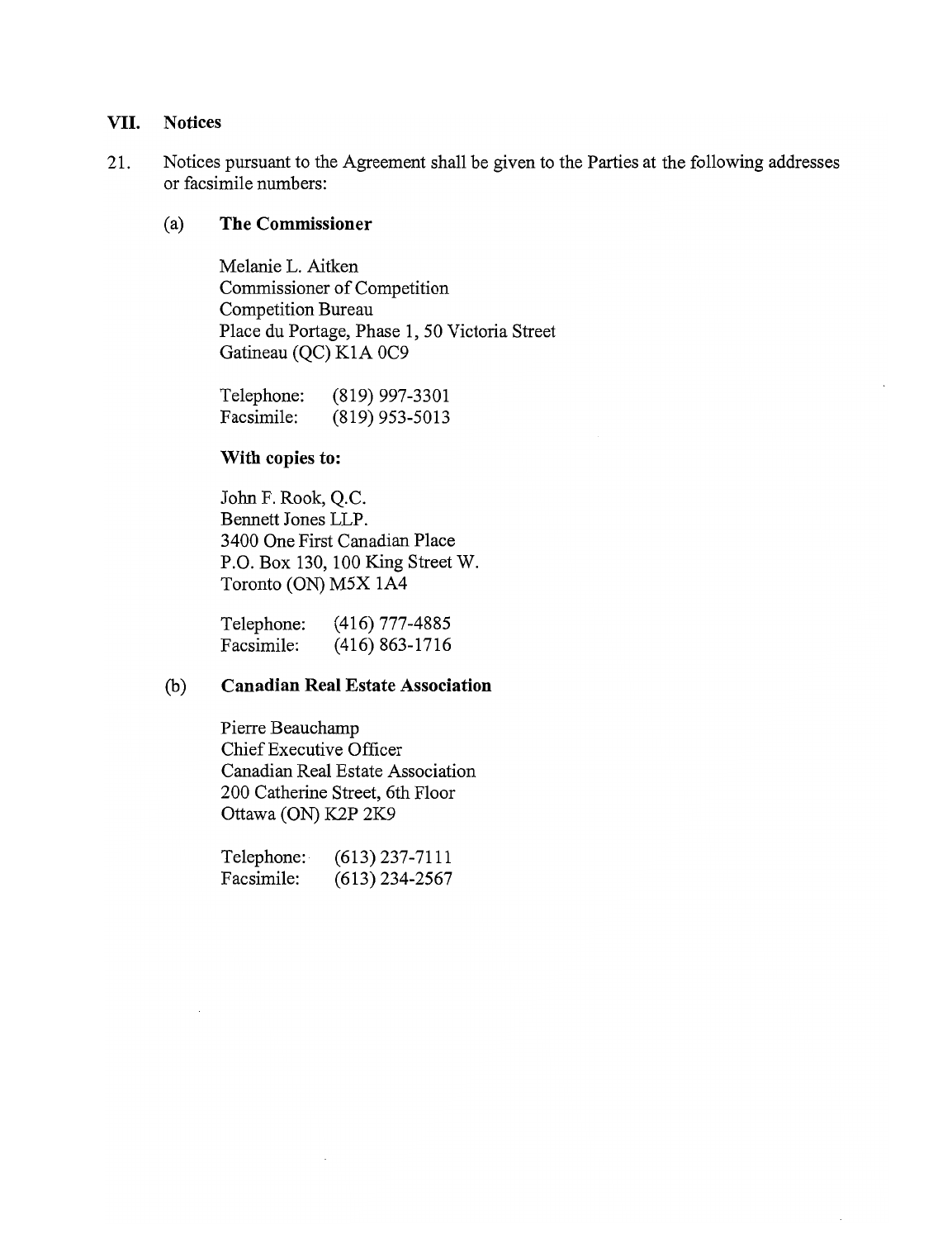### **VII. Notices**

21. Notices pursuant to the Agreement shall be given to the Parties at the following addresses or facsimile numbers:

#### (a) **The Commissioner**

Melanie L. Aitken Commissioner of Competition Competition Bureau Place du Portage, Phase 1,50 Victoria Street Gatineau (QC) KIA OC9

Telephone: Facsimile: (819) 997-3301 (819) 953-5013

#### **With copies to:**

John F. Rook, Q.C. Bennett Jones **LLP.**  3400 One First Canadian Place P.O. Box 130, 100 King Street W. Toronto (ON) M5X lA4

Telephone: Facsimile: (416) 777-4885 (416) 863-1716

### (b) **Canadian Real Estate Association**

Pierre Beauchamp Chief Executive Officer Canadian Real Estate Association 200 Catherine Street, 6th Floor Ottawa (ON) K2P 2K9

Telephone: Facsimile: (613) 237-7111 (613) 234-2567